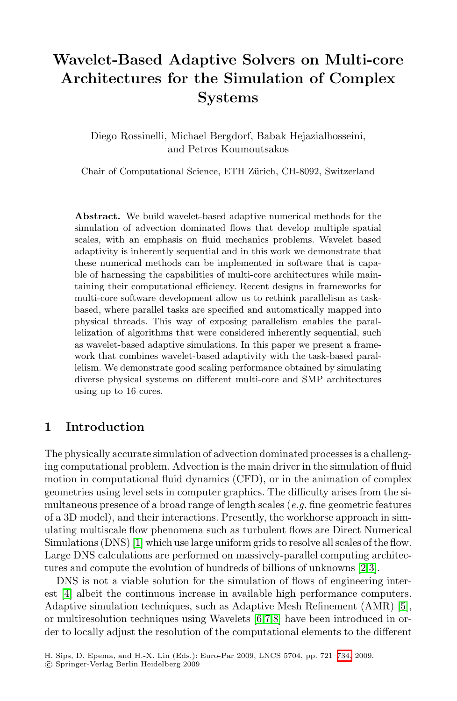# **Wavelet-Based Adaptive Solvers on Multi-core Architectures for the Simulation of Complex Systems**

Diego Rossinelli, Michael Bergdorf, Babak Hejazialhosseini, and Petros Koumoutsakos

Chair of Computational Science, ETH Zürich, CH-8092, Switzerland

**Abstract.** We build wavelet-based adaptive numerical methods for the simulation of advection dominated flows that develop multiple spatial scales, with an emphasis on fluid mechanics problems. Wavelet based adaptivity is inherently sequential and in this work we demonstrate that these numerical methods can be implemented in software that is capable of harnessing the capabilities of multi-core architectures while maintaining their computational efficiency. Recent designs in frameworks for multi-core software development allow us to rethink parallelism as taskbased, where parallel tasks are specified and automatically mapped into physical threads. This way of exposing parallelism enables the parallelization of algorithms that were considered inherently sequential, such as wavelet-based adaptive simulations. In this paper we present a framework that combines wavelet-based adaptivity with the task-based parallelism. We demonstrate good scaling performance obtained by simulating diverse physical systems on different multi-core and SMP architectures using up to 16 cores.

## **1 Introduction**

[Th](#page-12-0)e physically accurate simulation of advection dominated processes is a challenging computational problem. Advection is the main [d](#page-12-1)[riv](#page-12-2)er in the simulation of fluid motion in computational fluid dynamics (CFD), or in the animation of complex geometries using level sets in computer graphics. The difficulty arises from the simultaneous presence of a broad range of length scales (e.g. [fin](#page-12-3)e geometric features of a 3D model), and their i[nt](#page-12-4)[er](#page-13-0)[ac](#page-13-1)tions. Presently, the workhorse approach in simulating multiscale flow phenomena such as turbulent flows are Direct Numerical Simulations (DNS) [1] which use large uniform grids to resolve all scales of the flow. Large DNS calculations are performed on ma[ssiv](#page-13-2)ely-parallel computing architectures and compute the evolution of hundreds of billions of unknowns [2,3].

DNS is not a viable solution for the simulation of flows of engineering interest [4] albeit the continuous increase in available high performance computers. Adaptive simulation techniques, such as Adaptive Mesh Refinement (AMR) [5], or multiresolution techniques using Wavelets [6,7,8] have been introduced in order to locally adjust the resolution of the computational elements to the different

H. Sips, D. Epema, and H.-X. Lin (Eds.): Euro-Par 2009, LNCS 5704, pp. 721–734, 2009. -c Springer-Verlag Berlin Heidelberg 2009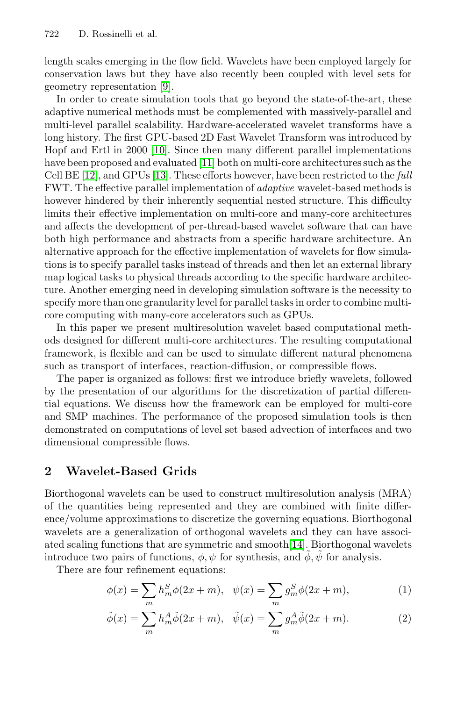leng[th](#page-13-3) [s](#page-13-3)cales e[mer](#page-13-4)ging in the flow field. Wavelets have been employed largely for cons[erva](#page-13-5)tion laws but they have also recently been coupled with level sets for geometry representation [9].

In order to create simulation tools that go beyond the state-of-the-art, these adaptive numerical methods must be complemented with massively-parallel and multi-level parallel scalability. Hardware-accelerated wavelet transforms have a long history. The first GPU-based 2D Fast Wavelet Transform was introduced by Hopf and Ertl in 2000 [10]. Since then many different parallel implementations have been proposed and evaluated [11] both on multi-core architectures such as the Cell BE [12], and GPUs [13]. These efforts however, have been restricted to the full FWT. The effective parallel implementation of adaptive wavelet-based methods is however hindered by their inherently sequential nested structure. This difficulty limits their effective implementation on multi-core and many-core architectures and affects the development of per-thread-based wavelet software that can have both high performance and abstracts from a specific hardware architecture. An alternative approach for the effective implementation of wavelets for flow simulations is to specify parallel tasks instead of threads and then let an external library map logical tasks to physical threads according to the specific hardware architecture. Another emerging need in developing simulation software is the necessity to specify more than one granularity level for parallel tasks in order to combine multicore computing with many-core accelerators such as GPUs.

In this paper we present multiresolution wavelet based computational methods designed for different multi-core architectures. The resulting computational framework, is flexible and can be used to simulate different natural phenomena such as transport of interfaces, reaction-diffusion, or compressible flows.

The paper is organized as follows: first we introduce briefly wavelets, followed by the presentation of our algorithms for the discretization of partial differential equations. We discuss how the framework can be employed for multi-core and SMP machines. The performance of the proposed simulation tools is then demonstrated on computations of level set based advection of interfaces and two dimensional compressible flows.

# **2 Wavelet-Based Grids**

Biorthogonal wavelets can be used to construct multiresolution analysis (MRA) of the quantities being represented and they are combined with finite difference/volume approximations to discretize the governing equations. Biorthogonal wavelets are a generalization of orthogonal wavelets and they can have associated scaling functions that are symmetric and smooth $[14]$ . Biorthogonal wavelets introduce two pairs of functions,  $\phi, \psi$  for synthesis, and  $\phi, \psi$  for analysis.

There are four refinement equations:

$$
\phi(x) = \sum_{m} h_m^S \phi(2x + m), \quad \psi(x) = \sum_{m} g_m^S \phi(2x + m), \tag{1}
$$

$$
\tilde{\phi}(x) = \sum_{m} h_m^A \tilde{\phi}(2x + m), \quad \tilde{\psi}(x) = \sum_{m} g_m^A \tilde{\phi}(2x + m). \tag{2}
$$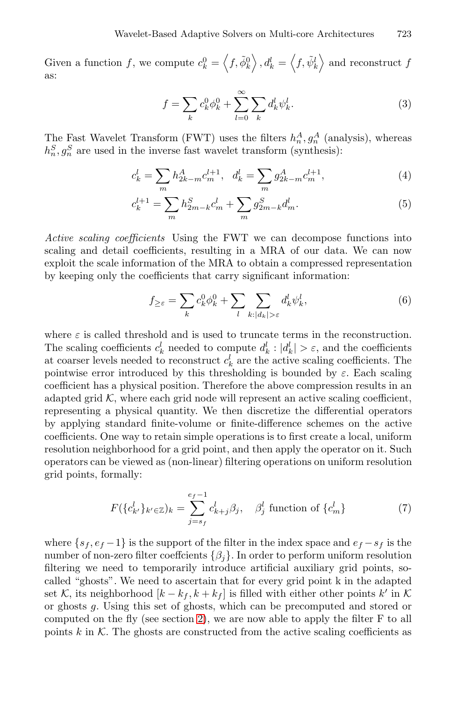Given a function f, we compute  $c_k^0 = \langle f, \tilde{\phi}_k^0 \rangle$ ,  $d_k^l = \langle f, \tilde{\psi}_k^l \rangle$  and reconstruct f as:

$$
f = \sum_{k} c_k^0 \phi_k^0 + \sum_{l=0}^{\infty} \sum_{k} d_k^l \psi_k^l.
$$
 (3)

The Fast Wavelet Transform (FWT) uses the filters  $h_n^A, g_n^A$  (analysis), whereas  $h_n^S, g_n^S$  are used in the inverse fast wavelet transform (synthesis):

$$
c_k^l = \sum_m h_{2k-m}^A c_m^{l+1}, \quad d_k^l = \sum_m g_{2k-m}^A c_m^{l+1},\tag{4}
$$

$$
c_k^{l+1} = \sum_m h_{2m-k}^S c_m^l + \sum_m g_{2m-k}^S d_m^l.
$$
 (5)

Active scaling coefficients Using the FWT we can decompose functions into scaling and detail coefficients, resulting in a MRA of our data. We can now exploit the scale information of the MRA to obtain a compressed representation by keeping only the coefficients that carry significant information:

$$
f_{\geq \varepsilon} = \sum_{k} c_k^0 \phi_k^0 + \sum_{l} \sum_{k: |d_k| > \varepsilon} d_k^l \psi_k^l, \tag{6}
$$

where  $\varepsilon$  is called threshold and is used to truncate terms in the reconstruction. The scaling coefficients  $c_k^l$  needed to compute  $d_k^l : |d_k^l| > \varepsilon$ , and the coefficients at coarser levels needed to reconstruct  $c_k^l$  are the active scaling coefficients. The pointwise error introduced by this thresholding is bounded by  $\varepsilon$ . Each scaling coefficient has a physical position. Therefore the above compression results in an adapted grid  $K$ , where each grid node will represent an active scaling coefficient, representing a physical quantity. We then discretize the differential operators by applying standard finite-volume or finite-difference schemes on the active coefficients. One way to retain simple operations is to first create a local, uniform resolution neighborhood for a grid point, and then apply the operator on it. Such operators can be viewed as (non-linear) filtering operations on uniform resolution grid points, formally:

$$
F(\{c_{k'}^l\}_{k' \in \mathbb{Z}})_k = \sum_{j=s_f}^{e_f-1} c_{k+j}^l \beta_j, \quad \beta_j^l \text{ function of } \{c_m^l\} \tag{7}
$$

where  $\{s_f, e_f-1\}$  is the support of the filter in the index space and  $e_f - s_f$  is the number of non-zero filter coeffcients  $\{\beta_i\}$ . In order to perform uniform resolution filtering we need to temporarily introduce artificial auxiliary grid points, socalled "ghosts". We need to ascertain that for every grid point k in the adapted set K, its neighborhood  $[k - k_f, k + k_f]$  is filled with either other points k' in K or ghosts g. Using this set of ghosts, which can be precomputed and stored or computed on the fly (see section 2), we are now able to apply the filter F to all points k in  $K$ . The ghosts are constructed from the active scaling coefficients as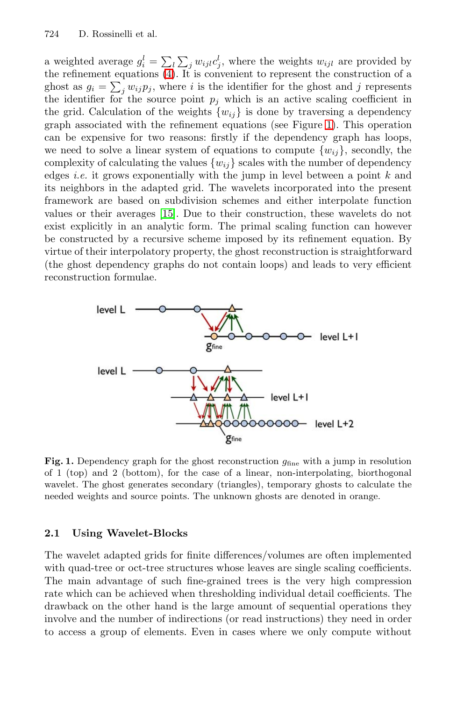a weighted average  $g_i^l = \sum_l \sum_j w_{ijl} c_j^l$ , where the weights  $w_{ijl}$  are provided by the refinement equations (4). It is convenient to represent the construction of a ghost as  $g_i = \sum_j w_{ij} p_j$ , where i is the identifier for the ghost and j represents the identifier for the source point  $p_j$  which is an active scaling coefficient in the gr[id.](#page-13-6) Calculation of the weights  $\{w_{ij}\}\$ is done by traversing a dependency graph associated with the refinement equations (see Figure 1). This operation can be expensive for two reasons: firstly if the dependency graph has loops, we need to solve a linear system of equations to compute  $\{w_{ij}\}\$ , secondly, the complexity of calculating the values  $\{w_{ij}\}$  scales with the number of dependency edges *i.e.* it grows exponentially with the jump in level between a point  $k$  and its neighbors in the adapted grid. The wavelets incorporated into the present framework are based on subdivision schemes and either interpolate function values or their averages [15]. Due to their construction, these wavelets do not exist explicitly in an analytic form. The primal scaling function can however be constructed by a recursive scheme imposed by its refinement equation. By virtue of their interpolatory property, the ghost reconstruction is straightforward (the ghost dependency graphs do not contain loops) and leads to very efficient reconstruction formulae.



**Fig. 1.** Dependency graph for the ghost reconstruction  $g_{\text{fine}}$  with a jump in resolution of 1 (top) and 2 (bottom), for the case of a linear, non-interpolating, biorthogonal wavelet. The ghost generates secondary (triangles), temporary ghosts to calculate the needed weights and source points. The unknown ghosts are denoted in orange.

#### **2.1 Using Wavelet-Blocks**

The wavelet adapted grids for finite differences/volumes are often implemented with quad-tree or oct-tree structures whose leaves are single scaling coefficients. The main advantage of such fine-grained trees is the very high compression rate which can be achieved when thresholding individual detail coefficients. The drawback on the other hand is the large amount of sequential operations they involve and the number of indirections (or read instructions) they need in order to access a group of elements. Even in cases where we only compute without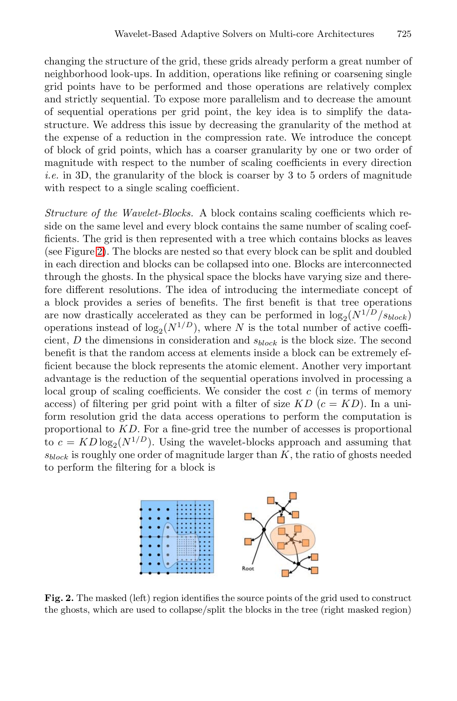changing the structure of the grid, these grids already perform a great number of neighborhood look-ups. In addition, operations like refining or coarsening single grid points have to be performed and those operations are relatively complex and strictly sequential. To expose more parallelism and to decrease the amount of sequential operations per grid point, the key idea is to simplify the datastructure. We address this issue by decreasing the granularity of the method at the expense of a reduction in the compression rate. We introduce the concept of block of grid points, which has a coarser granularity by one or two order of magnitude with respect to the number of scaling coefficients in every direction i.e. in 3D, the granularity of the block is coarser by 3 to 5 orders of magnitude with respect to a single scaling coefficient.

Structure of the Wavelet-Blocks. A block contains scaling coefficients which reside on the same level and every block contains the same number of scaling coefficients. The grid is then represented with a tree which contains blocks as leaves (see Figure 2). The blocks are nested so that every block can be split and doubled in each direction and blocks can be collapsed into one. Blocks are interconnected through the ghosts. In the physical space the blocks have varying size and therefore different resolutions. The idea of introducing the intermediate concept of a block provides a series of benefits. The first benefit is that tree operations are now drastically accelerated as they can be performed in  $\log_2(N^{1/D}/s_{block})$ operations instead of  $\log_2(N^{1/D})$ , where N is the total number of active coefficient,  $D$  the dimensions in consideration and  $s_{block}$  is the block size. The second benefit is that the random access at elements inside a block can be extremely efficient because the block represents the atomic element. Another very important advantage is the reduction of the sequential operations involved in processing a local group of scaling coefficients. We consider the cost  $c$  (in terms of memory access) of filtering per grid point with a filter of size  $KD$  ( $c = KD$ ). In a uniform resolution grid the data access operations to perform the computation is proportional to  $KD$ . For a fine-grid tree the number of accesses is proportional to  $c = KD \log_2(N^{1/D})$ . Using the wavelet-blocks approach and assuming that  $s_{block}$  is roughly one order of magnitude larger than  $K$ , the ratio of ghosts needed to perform the filtering for a block is



<span id="page-4-0"></span>**Fig. 2.** The masked (left) region identifies the source points of the grid used to construct the ghosts, which are used to collapse/split the blocks in the tree (right masked region)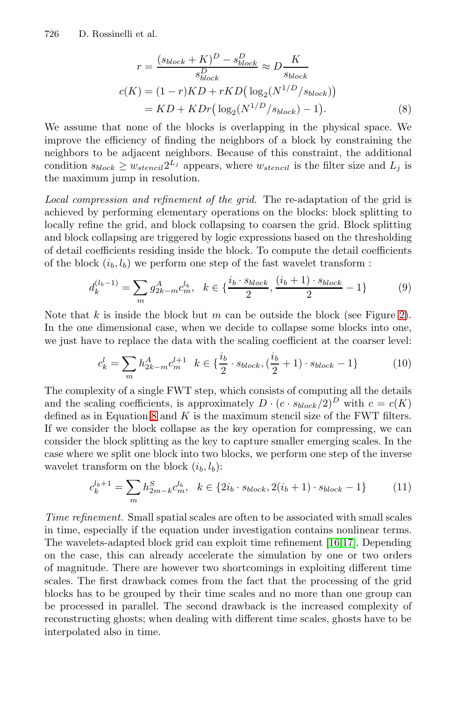<span id="page-5-0"></span>
$$
r = \frac{(s_{block} + K)^D - s_{block}^D}{s_{block}^D} \approx D \frac{K}{s_{block}}
$$
  

$$
c(K) = (1 - r)KD + rKD(\log_2(N^{1/D}/s_{block}))
$$
  

$$
= KD + KDr(\log_2(N^{1/D}/s_{block}) - 1).
$$
 (8)

We assume that none of the blocks is overlapping in the physical space. We improve the efficiency of finding the neighbors of a block by constraining the neighbors to be adjacent neighbors. Because of this constraint, the additional condition  $s_{block} \geq w_{stencil} 2^{L_j}$  appears, where  $w_{stencil}$  is the filter size and  $L_j$  is the maximum jump in resolution.

Local compression and refinement of the grid. The re-adaptation of the grid is achieved by performing elementary operations on the bl[ock](#page-4-0)s: block splitting to locally refine the grid, and block collapsing to coarsen the grid. Block splitting and block collapsing are triggered by logic expressions based on the thresholding of detail coefficients residing inside the block. To compute the detail coefficients of the block  $(i_b, l_b)$  we perform one step of the fast wavelet transform :

$$
d_k^{(l_b - 1)} = \sum_m g_{2k-m}^A c_m^{l_b}, \quad k \in \{\frac{i_b \cdot s_{block}}{2}, \frac{(i_b + 1) \cdot s_{block}}{2} - 1\}
$$
(9)

Not[e](#page-5-0) that  $k$  is inside the block but  $m$  can be outside the block (see Figure 2). In the one dimensional case, when we decide to collapse some blocks into one, we just have to replace the data with the scaling coefficient at the coarser level:

$$
c_k^l = \sum_m h_{2k-m}^A c_m^{l+1} \quad k \in \{\frac{i_b}{2} \cdot s_{block}, (\frac{i_b}{2} + 1) \cdot s_{block} - 1\}
$$
 (10)

The complexity of a single FWT step, which consists of computing all the details and the scaling coefficients, is approximately  $D \cdot (c \cdot s_{block}/2)^D$  with  $c = c(K)$ defined as in Equation 8 and  $K$  is the maximum stencil size of the FWT filters. If we consider the block collapse as the key operation for compressing, we can consider the block splitting as the key to c[apt](#page-13-7)[ure](#page-13-8) smaller emerging scales. In the case where we split one block into two blocks, we perform one step of the inverse wavelet transform on the block  $(i_b, l_b)$ :

$$
c_k^{l_b+1} = \sum_m h_{2m-k}^S c_m^{l_b}, \quad k \in \{2i_b \cdot s_{block}, 2(i_b+1) \cdot s_{block} - 1\} \tag{11}
$$

Time refinement. Small spatial scales are often to be associated with small scales in time, especially if the equation under investigation contains nonlinear terms. The wavelets-adapted block grid can exploit time refinement [16,17]. Depending on the case, this can already accelerate the simulation by one or two orders of magnitude. There are however two shortcomings in exploiting different time scales. The first drawback comes from the fact that the processing of the grid blocks has to be grouped by their time scales and no more than one group can be processed in parallel. The second drawback is the increased complexity of reconstructing ghosts; when dealing with different time scales, ghosts have to be interpolated also in time.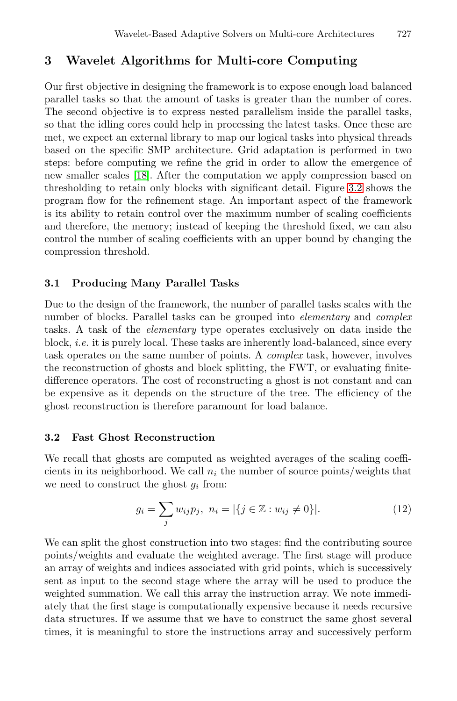# <span id="page-6-1"></span>**3 Wavelet Algorithms for Multi-core Computing**

[Our](#page-13-9) first objective in designing the framework [is to](#page-6-0) expose enough load balanced parallel tasks so that the amount of tasks is greater than the number of cores. The second objective is to express nested parallelism inside the parallel tasks, so that the idling cores could help in processing the latest tasks. Once these are met, we expect an external library to map our logical tasks into physical threads based on the specific SMP architecture. Grid adaptation is performed in two steps: before computing we refine the grid in order to allow the emergence of new smaller scales [18]. After the computation we apply compression based on thresholding to retain only blocks with significant detail. Figure 3.2 shows the program flow for the refinement stage. An important aspect of the framework is its ability to retain control over the maximum number of scaling coefficients and therefore, the memory; instead of keeping the threshold fixed, we can also control the number of scaling coefficients with an upper bound by changing the compression threshold.

#### **3.1 Producing Many Parallel Tasks**

Due to the design of the framework, the number of parallel tasks scales with the number of blocks. Parallel tasks can be grouped into *elementary* and *complex* tasks. A task of the elementary type operates exclusively on data inside the block, i.e. it is purely local. These tasks are inherently load-balanced, since every task operates on the same number of points. A complex task, however, involves the reconstruction of ghosts and block splitting, the FWT, or evaluating finitedifference operators. The cost of reconstructing a ghost is not constant and can be expensive as it depends on the structure of the tree. The efficiency of the ghost reconstruction is therefore paramount for load balance.

#### **3.2 Fast Ghost Reconstruction**

We recall that ghosts are computed as weighted averages of the scaling coefficients in its neighborhood. We call  $n_i$  the number of source points/weights that we need to construct the ghost  $g_i$  from:

<span id="page-6-0"></span>
$$
g_i = \sum_j w_{ij} p_j, \ n_i = |\{j \in \mathbb{Z} : w_{ij} \neq 0\}|. \tag{12}
$$

We can split the ghost construction into two stages: find the contributing source points/weights and evaluate the weighted average. The first stage will produce an array of weights and indices associated with grid points, which is successively sent as input to the second stage where the array will be used to produce the weighted summation. We call this array the instruction array. We note immediately that the first stage is computationally expensive because it needs recursive data structures. If we assume that we have to construct the same ghost several times, it is meaningful to store the instructions array and successively perform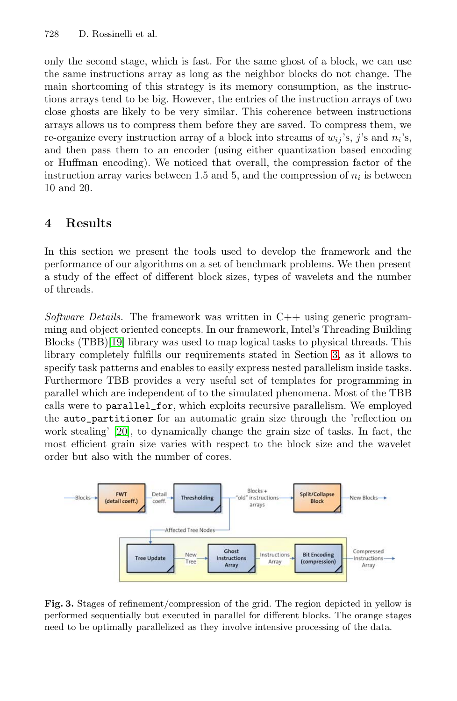only the second stage, which is fast. For the same ghost of a block, we can use the same instructions array as long as the neighbor blocks do not change. The main shortcoming of this strategy is its memory consumption, as the instructions arrays tend to be big. However, the entries of the instruction arrays of two close ghosts are likely to be very similar. This coherence between instructions arrays allows us to compress them before they are saved. To compress them, we re-organize every instruction array of a block into streams of  $w_{ii}$ 's, j's and  $n_i$ 's, and then pass them to an encoder (using either quantization based encoding or Huffman encoding). We noticed that overall, the compression factor of the instruction array varies between 1.5 and 5, and the compression of  $n_i$  is between 10 and 20.

## **4 Results**

In this section we present the tools used [to](#page-6-1) develop the framework and the performance of our algorithms on a set of benchmark problems. We then present a study of the effect of different block sizes, types of wavelets and the number of threads.

Software Details. The framework was written in  $C_{++}$  using generic programming and object oriented concepts. In our framework, Intel's Threading Building Blocks (TBB)[19] library was used to map logical tasks to physical threads. This library completely fulfills our requirements stated in Section 3, as it allows to specify task patterns and enables to easily express nested parallelism inside tasks. Furthermore TBB provides a very useful set of templates for programming in parallel which are independent of to the simulated phenomena. Most of the TBB calls were to parallel\_for, which exploits recursive parallelism. We employed the auto\_partitioner for an automatic grain size through the 'reflection on work stealing' [20], to dynamically change the grain size of tasks. In fact, the most efficient grain size varies with respect to the block size and the wavelet order but also with the number of cores.



**Fig. 3.** Stages of refinement/compression of the grid. The region depicted in yellow is performed sequentially but executed in parallel for different blocks. The orange stages need to be optimally parallelized as they involve intensive processing of the data.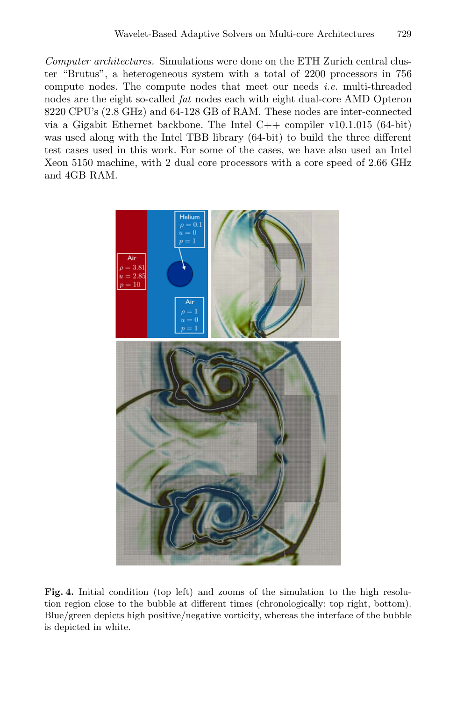Computer architectures. Simulations were done on the ETH Zurich central cluster "Brutus", a heterogeneous system with a total of 2200 processors in 756 compute nodes. The compute nodes that meet our needs i.e. multi-threaded nodes are the eight so-called *fat* nodes each with eight dual-core AMD Opteron 8220 CPU's (2.8 GHz) and 64-128 GB of RAM. These nodes are inter-connected via a Gigabit Ethernet backbone. The Intel  $C++$  compiler v10.1.015 (64-bit) was used along with the Intel TBB library (64-bit) to build the three different test cases used in this work. For some of the cases, we have also used an Intel Xeon 5150 machine, with 2 dual core processors with a core speed of 2.66 GHz and 4GB RAM.



**Fig. 4.** Initial condition (top left) and zooms of the simulation to the high resolution region close to the bubble at different times (chronologically: top right, bottom). Blue/green depicts high positive/negative vorticity, whereas the interface of the bubble is depicted in white.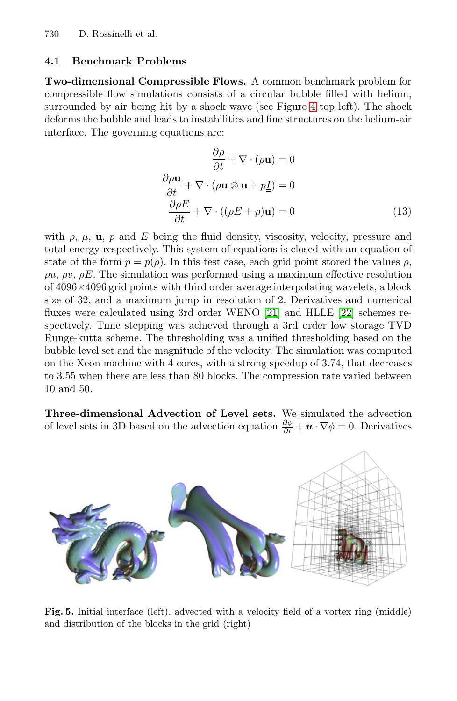#### **4.1 Benchmark Problems**

**Two-dimensional Compressible Flows.** A common benchmark problem for compressible flow simulations consists of a circular bubble filled with helium, surrounded by air being hit by a shock wave (see Figure 4 top left). The shock deforms the bubble and leads to instabilities and fine structures on the helium-air interface. The governing equations are:

$$
\frac{\partial \rho}{\partial t} + \nabla \cdot (\rho \mathbf{u}) = 0
$$

$$
\frac{\partial \rho \mathbf{u}}{\partial t} + \nabla \cdot (\rho \mathbf{u} \otimes \mathbf{u} + p\underline{I}) = 0
$$

$$
\frac{\partial \rho E}{\partial t} + \nabla \cdot ((\rho E + p) \mathbf{u}) = 0
$$
(13)

with  $\rho$ ,  $\mu$ ,  $\mathbf{u}$ ,  $p$  and E being the fluid density, viscosity, velocity, pressure and total energy respectively. This system of equations is closed with an equation of state of the form  $p = p(\rho)$ . In this test case, each grid point stored the values  $\rho$ ,  $\rho u$ ,  $\rho v$ ,  $\rho E$ . The simulation was performed using a maximum effective resolution of 4096×4096 grid points with third order average interpolating wavelets, a block size of 32, and a maximum jump in resolution of 2. Derivatives and numerical fluxes were calculated using 3rd order WENO [21] and HLLE [22] schemes respectively. Time stepping was achieved through a 3rd order low storage TVD Runge-kutta scheme. The thresholding was a unified thresholding based on the bubble level set and the magnitude of the velocity. The simulation was computed on the Xeon machine with 4 cores, with a strong speedup of 3.74, that decreases to 3.55 when there are less than 80 blocks. The compression rate varied between 10 and 50.

**Three-dimensional Advection of Level sets.** We simulated the advection of level sets in 3D based on the advection equation  $\frac{\partial \phi}{\partial t} + \mathbf{u} \cdot \nabla \phi = 0$ . Derivatives



Fig. 5. Initial interface (left), advected with a velocity field of a vortex ring (middle) and distribution of the blocks in the grid (right)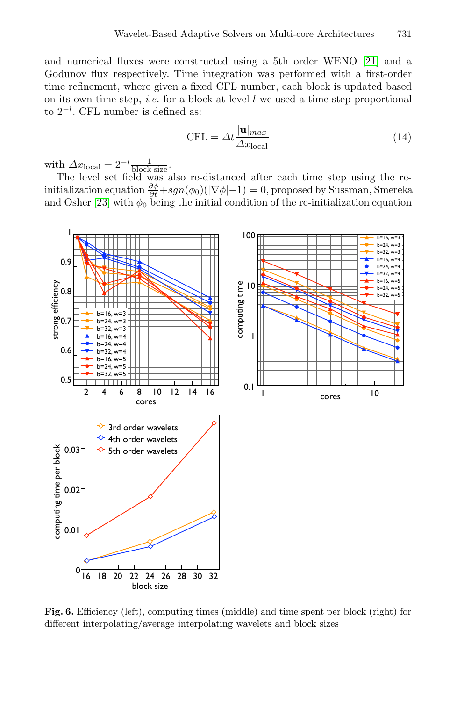and numerical fluxes were constructed using a 5th order WENO [21] and a Godunov flux respectively. Time integration was performed with a first-order time refinement, where given a fixed CFL number, each block is updated based on its own time step, *i.e.* for a block at level  $l$  we used a time step proportional to  $2^{-l}$ . CFL number is defined as:

$$
CFL = \Delta t \frac{|\mathbf{u}|_{max}}{\Delta x_{\text{local}}}
$$
 (14)

with  $\Delta x_{\text{local}} = 2^{-l} \frac{1}{\text{block size}}$ .

The level set field was also re-distanced after each time step using the reinitialization equation  $\frac{\partial \phi}{\partial t} + sgn(\phi_0)(|\nabla \phi| - 1) = 0$ , proposed by Sussman, Smereka and Osher [23] with  $\phi_0$  being the initial condition of the re-initialization equation



<span id="page-10-0"></span>Fig. 6. Efficiency (left), computing times (middle) and time spent per block (right) for different interpolating/average interpolating wavelets and block sizes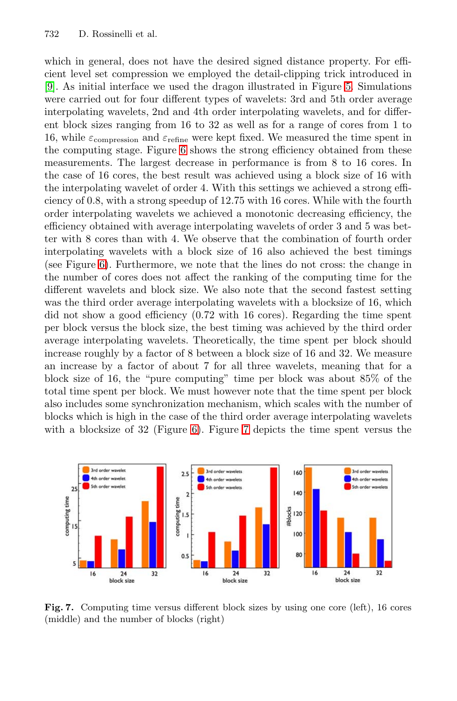which in [gen](#page-10-0)eral, does not have the desired signed distance property. For efficient level set compression we employed the detail-clipping trick introduced in [9]. As initial interface we used the dragon illustrated in Figure 5. Simulations were carried out for four different types of wavelets: 3rd and 5th order average interpolating wavelets, 2nd and 4th order interpolating wavelets, and for different block sizes ranging from 16 to 32 as well as for a range of cores from 1 to 16, while  $\varepsilon_{\text{compression}}$  and  $\varepsilon_{\text{refine}}$  were kept fixed. We measured the time spent in the computing stage. Figure 6 shows the strong efficiency obtained from these measurements. The largest decrease in performance is from 8 to 16 cores. In the case of 16 cores, the best result was achieved using a block size of 16 with the interpolating wavelet of order 4. With this settings we achieved a strong efficiency of 0.8, with a strong speedup of 12.75 with 16 cores. While with the fourth order interpolating wavelets we achieved a monotonic decreasing efficiency, the efficiency obtained with average interpolating wavelets of order 3 and 5 was better with 8 cores than with 4. We observe that the combination of fourth order interpolating wavelets with a block size of 16 also achieved the best timings (see Figure 6). Furthermore, we note that the lines do not cross: the change in the number of cores does not affect the ranking of the computing time for the different wavelets and block size. We also note that the second fastest setting was the third order average interpolating wavelets with a blocksize of 16, which did not show a good efficiency (0.72 with 16 cores). Regarding the time spent per block ve[rsu](#page-10-0)s the bl[ock](#page-11-0) size, the best timing was achieved by the third order average interpolating wavelets. Theoretically, the time spent per block should increase roughly by a factor of 8 between a block size of 16 and 32. We measure an increase by a factor of about 7 for all three wavelets, meaning that for a block size of 16, the "pure computing" time per block was about 85% of the total time spent per block. We must however note that the time spent per block also includes some synchronization mechanism, which scales with the number of blocks which is high in the case of the third order average interpolating wavelets with a blocksize of 32 (Figure 6). Figure 7 depicts the time spent versus the

<span id="page-11-0"></span>

Fig. 7. Computing time versus different block sizes by using one core (left), 16 cores (middle) and the number of blocks (right)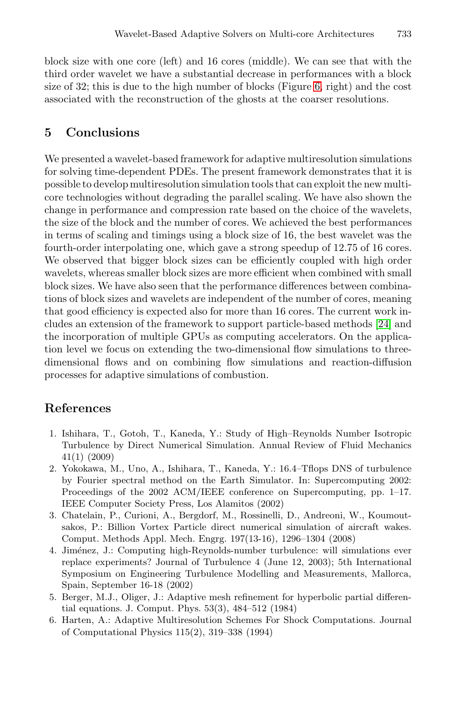block size with one core (left) and 16 cores (middle). We can see that with the third order wavelet we have a substantial decrease in performances with a block size of 32; this is due to the high number of blocks (Figure 6, right) and the cost associated with the reconstruction of the ghosts at the coarser resolutions.

# **5 Conclusions**

We presented a wavelet-based framework for adaptive multiresolution simulations for solving time-dependent PDEs. The present framework demonstrates that it is possibleto developmultiresolutionsimulation toolsthatcan exploitthe new multicore technologies without degrading the parallel scaling. We have also shown the change in performance and compression rate based on the choice of the wavelets, the size of the block and the number of cores. We achi[eve](#page-13-12)d the best performances in terms of scaling and timings using a block size of 16, the best wavelet was the fourth-order interpolating one, which gave a strong speedup of 12.75 of 16 cores. We observed that bigger block sizes can be efficiently coupled with high order wavelets, whereas smaller block sizes are more efficient when combined with small block sizes. We have also seen that the performance differences between combinations of block sizes and wavelets are independent of the number of cores, meaning that good efficiency is expected also for more than 16 cores. The current work includes an extension of the framework to support particle-based methods [24] and the incorporation of multiple GPUs as computing accelerators. On the application level we focus on extending the two-dimensional flow simulations to threedimensional flows and on combining flow simulations and reaction-diffusion processes for adaptive simulations of combustion.

# <span id="page-12-2"></span><span id="page-12-1"></span><span id="page-12-0"></span>**References**

- 1. Ishihara, T., Gotoh, T., Kaneda, Y.: Study of High–Reynolds Number Isotropic Turbulence by Direct Numerical Simulation. Annual Review of Fluid Mechanics 41(1) (2009)
- 2. Yokokawa, M., Uno, A., Ishihara, T., Kaneda, Y.: 16.4–Tflops DNS of turbulence by Fourier spectral method on the Earth Simulator. In: Supercomputing 2002: Proceedings of the 2002 ACM/IEEE conference on Supercomputing, pp. 1–17. IEEE Computer Society Press, Los Alamitos (2002)
- <span id="page-12-4"></span><span id="page-12-3"></span>3. Chatelain, P., Curioni, A., Bergdorf, M., Rossinelli, D., Andreoni, W., Koumoutsakos, P.: Billion Vortex Particle direct numerical simulation of aircraft wakes. Comput. Methods Appl. Mech. Engrg. 197(13-16), 1296–1304 (2008)
- 4. Jim´enez, J.: Computing high-Reynolds-number turbulence: will simulations ever replace experiments? Journal of Turbulence 4 (June 12, 2003); 5th International Symposium on Engineering Turbulence Modelling and Measurements, Mallorca, Spain, September 16-18 (2002)
- 5. Berger, M.J., Oliger, J.: Adaptive mesh refinement for hyperbolic partial differential equations. J. Comput. Phys. 53(3), 484–512 (1984)
- 6. Harten, A.: Adaptive Multiresolution Schemes For Shock Computations. Journal of Computational Physics 115(2), 319–338 (1994)